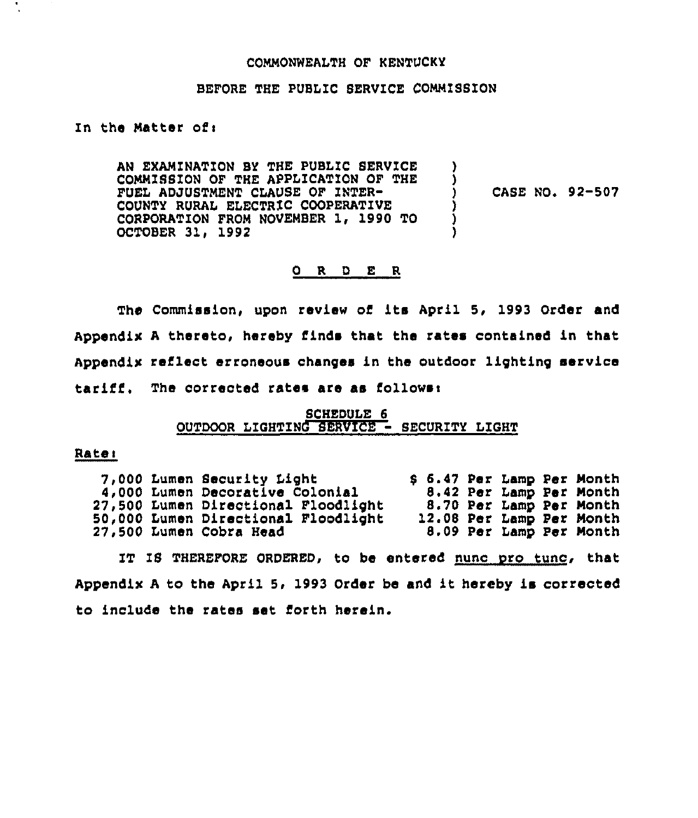#### COMMONWEALTH OF KENTUCKY

#### BEFORE THE PUBLIC SERVICE COMMISSION

#### Zn the Matter ofi

AN EXAMINATION BY THE PUBLIC SERVICE COMMISSION OF THE APPLZCATION OF THE FUEL ADJUSTMENT CLAUSE OF ZNTER-COUNTY RURAL ELECTRIC COOPERATIVE CORPORATION FROM NOVEMBER 1, 1990 TO OCTOBER 31, 1992 ) CASE NO. 92-507 ) ) )

# 0 R <sup>D</sup> E R

The Commission, upon review of ita April 5, 1993 Order and Appendix <sup>A</sup> thereto, hereby finds that the rates contained in that Appendix reflect erroneous changes in the outdoor lighting service  $\texttt{tariff}.$  The corrected rates are as follows:

# SCHEDULE 6 OUTDOOR LZGHTING SERVZCE - SECURITY LIGHT

# Rate:

7,000 Lumen Security light 4,000 Lumen Decorative Colonial 27,500 Lumen Directional Floodlight 50,000 Lumen Directional Floodlight 27,500 Lumen Cobra Head 8 6.47 Per Lamp Per Month 8.42 Per Lamp Per Month 8.70 Per Lamp Per Month 12.08 Per Lamp Per Month 8.09 Per Lamp Per Month

IT IS THEREFORE ORDERED, to be entered nunc pro tunc, that Appendix <sup>A</sup> to the April 5, 1993 Order be and it hereby is corrected to include the rates set forth herein.